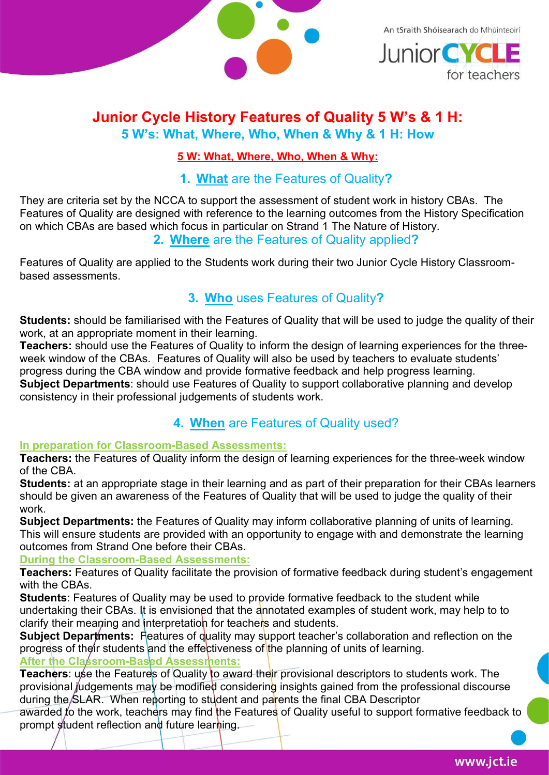

An tSraith Shóisearach do Mhúinteoirí **Junior CYC** 

for teachers

## Junior Cycle History Features of Quality 5 W's & 1 H: 5 W's: What, Where, Who, When & Why & 1 H: How

#### 5 W: What, Where, Who, When & Why:

#### 1. What are the Features of Quality?

They are criteria set by the NCCA to support the assessment of student work in history CBAs. The Features of Quality are designed with reference to the learning outcomes from the History Specification on which CBAs are based which focus in particular on Strand 1 The Nature of History.

2. Where are the Features of Quality applied?

Features of Quality are applied to the Students work during their two Junior Cycle History Classroombased assessments.

# 3. Who uses Features of Quality?

Students: should be familiarised with the Features of Quality that will be used to judge the quality of their work, at an appropriate moment in their learning.

Teachers: should use the Features of Quality to inform the design of learning experiences for the threeweek window of the CBAs. Features of Quality will also be used by teachers to evaluate students' progress during the CBA window and provide formative feedback and help progress learning. Subject Departments: should use Features of Quality to support collaborative planning and develop

consistency in their professional judgements of students work.

## 4. When are Features of Quality used?

#### In preparation for Classroom-Based Assessments:

Teachers: the Features of Quality inform the design of learning experiences for the three-week window of the CBA.

Students: at an appropriate stage in their learning and as part of their preparation for their CBAs learners should be given an awareness of the Features of Quality that will be used to judge the quality of their work.

Subject Departments: the Features of Quality may inform collaborative planning of units of learning. This will ensure students are provided with an opportunity to engage with and demonstrate the learning outcomes from Strand One before their CBAs.

#### During the Classroom-Based Assessments:

Teachers: Features of Quality facilitate the provision of formative feedback during student's engagement with the CBAs.

Students: Features of Quality may be used to provide formative feedback to the student while undertaking their CBAs. It is envisioned that the annotated examples of student work, may help to to clarify their meaning and interpretation for teachers and students.

Subject Departments: Features of quality may support teacher's collaboration and reflection on the progress of their students and the effectiveness of the planning of units of learning.

# After the Classroom-Based Assessments:

Teachers: use the Features of Quality to award their provisional descriptors to students work. The provisional judgements may be modified considering insights gained from the professional discourse during the SLAR. When reporting to student and parents the final CBA Descriptor

awarded to the work, teachers may find the Features of Quality useful to support formative feedback to prompt student reflection and future learning.